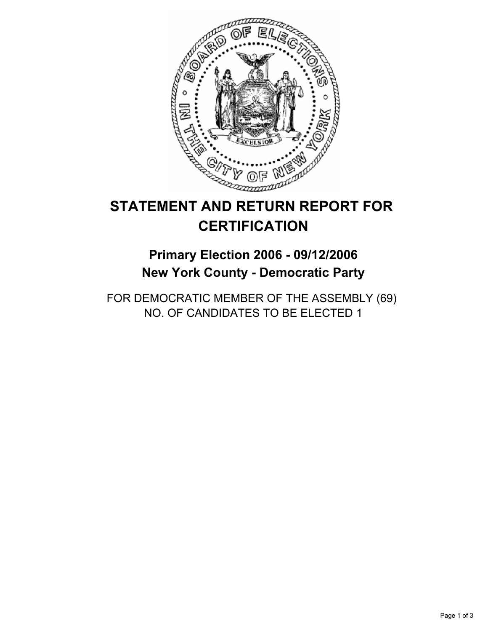

# **STATEMENT AND RETURN REPORT FOR CERTIFICATION**

# **Primary Election 2006 - 09/12/2006 New York County - Democratic Party**

FOR DEMOCRATIC MEMBER OF THE ASSEMBLY (69) NO. OF CANDIDATES TO BE ELECTED 1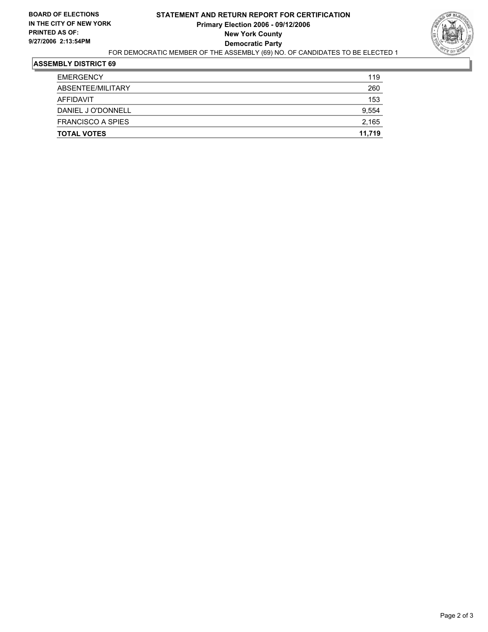

#### **ASSEMBLY DISTRICT 69**

| <b>TOTAL VOTES</b>       | 11,719 |
|--------------------------|--------|
| <b>FRANCISCO A SPIES</b> | 2,165  |
| DANIEL J O'DONNELL       | 9,554  |
| AFFIDAVIT                | 153    |
| ABSENTEE/MILITARY        | 260    |
| <b>EMERGENCY</b>         | 119    |